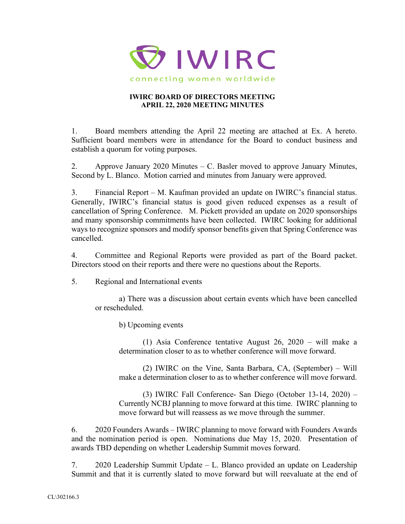

## **IWIRC BOARD OF DIRECTORS MEETING APRIL 22, 2020 MEETING MINUTES**

1. Board members attending the April 22 meeting are attached at Ex. A hereto. Sufficient board members were in attendance for the Board to conduct business and establish a quorum for voting purposes.

2. Approve January 2020 Minutes – C. Basler moved to approve January Minutes, Second by L. Blanco. Motion carried and minutes from January were approved.

3. Financial Report – M. Kaufman provided an update on IWIRC's financial status. Generally, IWIRC's financial status is good given reduced expenses as a result of cancellation of Spring Conference. M. Pickett provided an update on 2020 sponsorships and many sponsorship commitments have been collected. IWIRC looking for additional ways to recognize sponsors and modify sponsor benefits given that Spring Conference was cancelled.

4. Committee and Regional Reports were provided as part of the Board packet. Directors stood on their reports and there were no questions about the Reports.

5. Regional and International events

a) There was a discussion about certain events which have been cancelled or rescheduled.

b) Upcoming events

(1) Asia Conference tentative August 26, 2020 – will make a determination closer to as to whether conference will move forward.

(2) IWIRC on the Vine, Santa Barbara, CA, (September) – Will make a determination closer to as to whether conference will move forward.

(3) IWIRC Fall Conference- San Diego (October 13-14, 2020) – Currently NCBJ planning to move forward at this time. IWIRC planning to move forward but will reassess as we move through the summer.

6. 2020 Founders Awards – IWIRC planning to move forward with Founders Awards and the nomination period is open. Nominations due May 15, 2020. Presentation of awards TBD depending on whether Leadership Summit moves forward.

7. 2020 Leadership Summit Update – L. Blanco provided an update on Leadership Summit and that it is currently slated to move forward but will reevaluate at the end of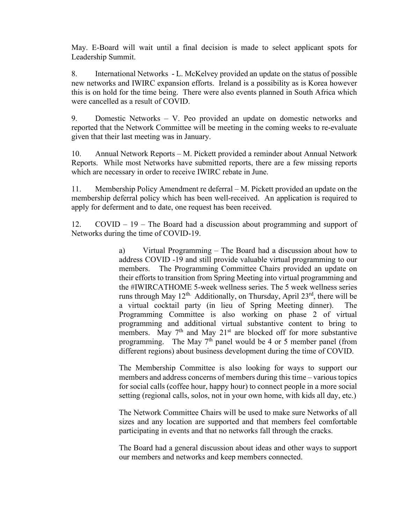May. E-Board will wait until a final decision is made to select applicant spots for Leadership Summit.

8. International Networks - L. McKelvey provided an update on the status of possible new networks and IWIRC expansion efforts. Ireland is a possibility as is Korea however this is on hold for the time being. There were also events planned in South Africa which were cancelled as a result of COVID.

9. Domestic Networks – V. Peo provided an update on domestic networks and reported that the Network Committee will be meeting in the coming weeks to re-evaluate given that their last meeting was in January.

10. Annual Network Reports – M. Pickett provided a reminder about Annual Network Reports. While most Networks have submitted reports, there are a few missing reports which are necessary in order to receive IWIRC rebate in June.

11. Membership Policy Amendment re deferral – M. Pickett provided an update on the membership deferral policy which has been well-received. An application is required to apply for deferment and to date, one request has been received.

12. COVID – 19 – The Board had a discussion about programming and support of Networks during the time of COVID-19.

> a) Virtual Programming – The Board had a discussion about how to address COVID -19 and still provide valuable virtual programming to our members. The Programming Committee Chairs provided an update on their efforts to transition from Spring Meeting into virtual programming and the #IWIRCATHOME 5-week wellness series. The 5 week wellness series runs through May 12<sup>th.</sup> Additionally, on Thursday, April 23<sup>rd</sup>, there will be a virtual cocktail party (in lieu of Spring Meeting dinner). The Programming Committee is also working on phase 2 of virtual programming and additional virtual substantive content to bring to members. May  $7<sup>th</sup>$  and May  $21<sup>st</sup>$  are blocked off for more substantive programming. The May  $7<sup>th</sup>$  panel would be 4 or 5 member panel (from different regions) about business development during the time of COVID.

> The Membership Committee is also looking for ways to support our members and address concerns of members during this time – various topics for social calls (coffee hour, happy hour) to connect people in a more social setting (regional calls, solos, not in your own home, with kids all day, etc.)

> The Network Committee Chairs will be used to make sure Networks of all sizes and any location are supported and that members feel comfortable participating in events and that no networks fall through the cracks.

> The Board had a general discussion about ideas and other ways to support our members and networks and keep members connected.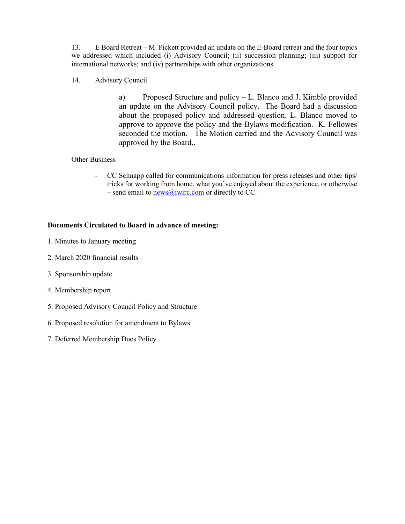13. E Board Retreat – M. Pickett provided an update on the E-Board retreat and the four topics we addressed which included (i) Advisory Council; (ii) succession planning; (iii) support for international networks; and (iv) partnerships with other organizations

14. Advisory Council

a) Proposed Structure and policy – L. Blanco and J. Kimble provided an update on the Advisory Council policy. The Board had a discussion about the proposed policy and addressed question. L. Blanco moved to approve to approve the policy and the Bylaws modification. K. Fellowes seconded the motion. The Motion carried and the Advisory Council was approved by the Board..

## Other Business

- CC Schnapp called for communications information for press releases and other tips/ tricks for working from home, what you've enjoyed about the experience, or otherwise – send email to  $n = \frac{\text{new}}{\text{new}}$  or directly to CC.

## **Documents Circulated to Board in advance of meeting:**

- 1. Minutes to January meeting
- 2. March 2020 financial results
- 3. Sponsorship update
- 4. Membership report
- 5. Proposed Advisory Council Policy and Structure
- 6. Proposed resolution for amendment to Bylaws
- 7. Deferred Membership Dues Policy